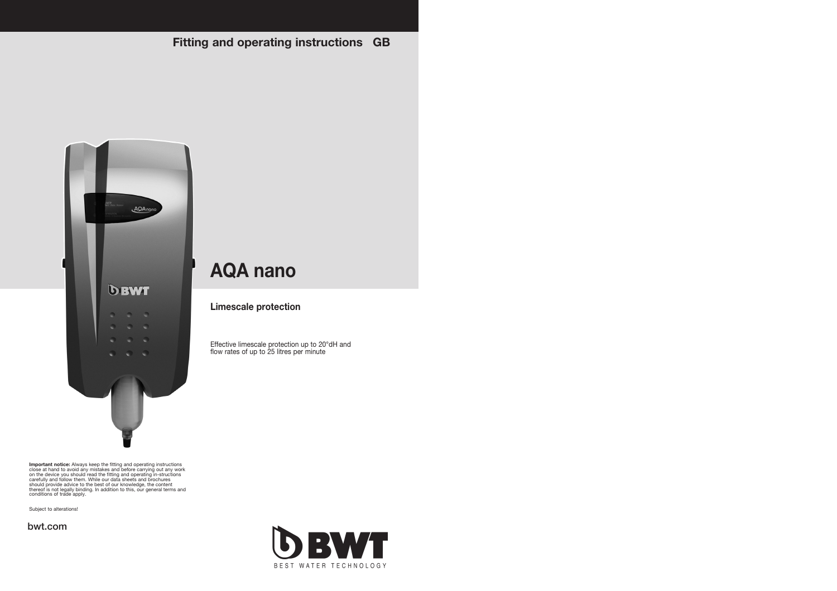**Fitting and operating instructions GB**



Important notice: Always keep the fitting and operating instructions<br>close at hand to avoid any mistakes and before carrying out any work<br>on the device you should read the fitting and operating in-structions<br>carefully and

Subject to alterations!

**bwt.com**



**Limescale protection**

Effective limescale protection up to 20°dH and flow rates of up to 25 litres per minute

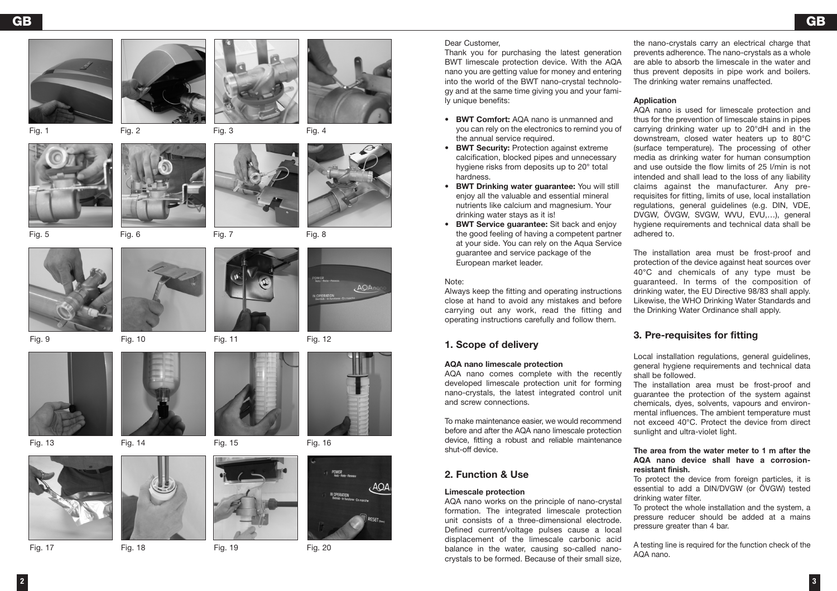

















Fig. 13 Fig. 14 Fig. 15 Fig. 16



Fig. 17 Fig. 18 Fig. 19 Fig. 20







Fig. 9 Fig. 10 Fig. 11 Fig. 12



### Dear Customer,

Thank you for purchasing the latest generation BWT limescale protection device. With the AQA nano you are getting value for money and entering into the world of the BWT nano-crystal technology and at the same time giving you and your family unique benefits:

- **BWT Comfort:** AQA nano is unmanned and you can rely on the electronics to remind you of the annual service required.
- **BWT Security:** Protection against extreme calcification, blocked pipes and unnecessary hygiene risks from deposits up to 20° total hardness.
- **BWT Drinking water guarantee:** You will still enjoy all the valuable and essential mineral nutrients like calcium and magnesium. Your drinking water stays as it is!
- **BWT Service guarantee:** Sit back and enjoy the good feeling of having a competent partner at your side. You can rely on the Aqua Service guarantee and service package of the European market leader.

#### Note:

Always keep the fitting and operating instructions close at hand to avoid any mistakes and before carrying out any work, read the fitting and operating instructions carefully and follow them.

# **1. Scope of delivery**

#### **AQA nano limescale protection**

AQA nano comes complete with the recently developed limescale protection unit for forming nano-crystals, the latest integrated control unit and screw connections.

To make maintenance easier, we would recommend before and after the AQA nano limescale protection device, fitting a robust and reliable maintenance shut-off device.

## **2. Function & Use**

#### **Limescale protection**

AQA nano works on the principle of nano-crystal formation. The integrated limescale protection unit consists of a three-dimensional electrode. Defined current/voltage pulses cause a local displacement of the limescale carbonic acid balance in the water, causing so-called nanocrystals to be formed. Because of their small size, the nano-crystals carry an electrical charge that prevents adherence. The nano-crystals as a whole are able to absorb the limescale in the water and thus prevent deposits in pipe work and boilers. The drinking water remains unaffected.

### **Application**

AQA nano is used for limescale protection and thus for the prevention of limescale stains in pipes carrying drinking water up to 20°dH and in the downstream, closed water heaters up to 80°C (surface temperature). The processing of other media as drinking water for human consumption and use outside the flow limits of 25 l/min is not intended and shall lead to the loss of any liability claims against the manufacturer. Any prerequisites for fitting, limits of use, local installation regulations, general guidelines (e.g. DIN, VDE, DVGW, ÖVGW, SVGW, WVU, EVU,…), general hygiene requirements and technical data shall be adhered to.

The installation area must be frost-proof and protection of the device against heat sources over 40°C and chemicals of any type must be guaranteed. In terms of the composition of drinking water, the EU Directive 98/83 shall apply. Likewise, the WHO Drinking Water Standards and the Drinking Water Ordinance shall apply.

# **3. Pre-requisites for fitting**

Local installation regulations, general quidelines, general hygiene requirements and technical data shall be followed.

The installation area must be frost-proof and guarantee the protection of the system against chemicals, dyes, solvents, vapours and environmental influences. The ambient temperature must not exceed 40°C. Protect the device from direct sunlight and ultra-violet light.

#### **The area from the water meter to 1 m after the AQA nano device shall have a corrosionresistant finish.**

To protect the device from foreign particles, it is essential to add a DIN/DVGW (or ÖVGW) tested drinking water filter.

To protect the whole installation and the system, a pressure reducer should be added at a mains pressure greater than 4 bar.

A testing line is required for the function check of the AQA nano.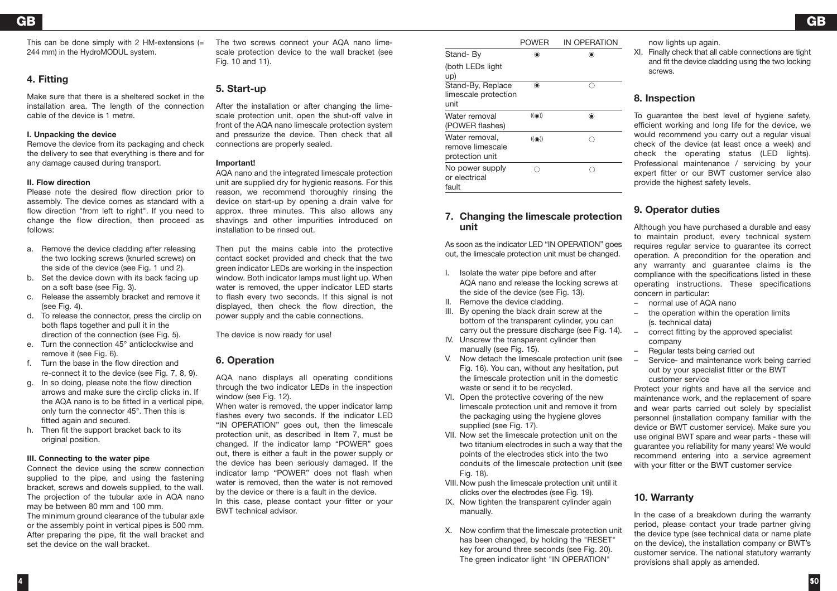This can be done simply with 2 HM-extensions  $(=$ 244 mm) in the HydroMODUL system.

# **4. Fitting**

Make sure that there is a sheltered socket in the installation area. The length of the connection cable of the device is 1 metre.

## **I. Unpacking the device**

Remove the device from its packaging and check the delivery to see that everything is there and for any damage caused during transport.

## **II. Flow direction**

Please note the desired flow direction prior to assembly. The device comes as standard with a flow direction "from left to right". If you need to change the flow direction, then proceed as follows:

- a. Remove the device cladding after releasing the two locking screws (knurled screws) on the side of the device (see Fig. 1 und 2).
- b. Set the device down with its back facing up on a soft base (see Fig. 3).
- c. Release the assembly bracket and remove it (see Fig. 4).
- d. To release the connector, press the circlip on both flaps together and pull it in the direction of the connection (see Fig. 5).
- e. Turn the connection 45° anticlockwise and remove it (see Fig. 6).
- f. Turn the base in the flow direction and re-connect it to the device (see Fig. 7, 8, 9).
- g. In so doing, please note the flow direction arrows and make sure the circlip clicks in. If the AQA nano is to be fitted in a vertical pipe, only turn the connector 45°. Then this is fitted again and secured.
- h. Then fit the support bracket back to its original position.

## **III. Connecting to the water pipe**

Connect the device using the screw connection supplied to the pipe, and using the fastening bracket, screws and dowels supplied, to the wall. The projection of the tubular axle in AQA nano may be between 80 mm and 100 mm.

The minimum ground clearance of the tubular axle or the assembly point in vertical pipes is 500 mm. After preparing the pipe, fit the wall bracket and set the device on the wall bracket.

The two screws connect your AQA nano limescale protection device to the wall bracket (see Fig. 10 and 11).

# **5. Start-up**

After the installation or after changing the limescale protection unit, open the shut-off valve in front of the AQA nano limescale protection system and pressurize the device. Then check that all connections are properly sealed.

## **Important!**

AQA nano and the integrated limescale protection unit are supplied dry for hygienic reasons. For this reason, we recommend thoroughly rinsing the device on start-up by opening a drain valve for approx. three minutes. This also allows any shavings and other impurities introduced on installation to be rinsed out.

Then put the mains cable into the protective contact socket provided and check that the two green indicator LEDs are working in the inspection window. Both indicator lamps must light up. When water is removed, the upper indicator LED starts to flash every two seconds. If this signal is not displayed, then check the flow direction, the power supply and the cable connections.

The device is now ready for use!

# **6. Operation**

AQA nano displays all operating conditions through the two indicator LEDs in the inspection window (see Fig. 12).

When water is removed, the upper indicator lamp flashes every two seconds. If the indicator LED "IN OPERATION" goes out, then the limescale protection unit, as described in Item 7, must be changed. If the indicator lamp "POWER" goes out, there is either a fault in the power supply or the device has been seriously damaged. If the indicator lamp "POWER" does not flash when water is removed, then the water is not removed by the device or there is a fault in the device. In this case, please contact your fitter or your BWT technical advisor.

|                                                       | POWER              | IN OPERATION |
|-------------------------------------------------------|--------------------|--------------|
| Stand- By                                             | ۰                  |              |
| (both LEDs light<br>up)                               |                    |              |
| Stand-By, Replace<br>limescale protection<br>unit     | ۰                  | c            |
| Water removal<br>(POWER flashes)                      | $((\circledcirc))$ | ۰            |
| Water removal,<br>remove limescale<br>protection unit | $((\circledcirc))$ |              |
| No power supply<br>or electrical<br>fault             |                    |              |

## **7. Changing the limescale protection unit**

As soon as the indicator LED "IN OPERATION" goes out, the limescale protection unit must be changed.

- I. Isolate the water pipe before and after AQA nano and release the locking screws at the side of the device (see Fig. 13).
- II. Remove the device cladding.
- III. By opening the black drain screw at the bottom of the transparent cylinder, you can carry out the pressure discharge (see Fig. 14).
- IV. Unscrew the transparent cylinder then manually (see Fig. 15).
- V. Now detach the limescale protection unit (see Fig. 16). You can, without any hesitation, put the limescale protection unit in the domestic waste or send it to be recycled.
- VI. Open the protective covering of the new limescale protection unit and remove it from the packaging using the hygiene gloves supplied (see Fig. 17).
- VII. Now set the limescale protection unit on the two titanium electrodes in such a way that the points of the electrodes stick into the two conduits of the limescale protection unit (see Fig. 18).
- VIII. Now push the limescale protection unit until it clicks over the electrodes (see Fig. 19).
- IX. Now tighten the transparent cylinder again manually.
- X. Now confirm that the limescale protection unit has been changed, by holding the "RESET" key for around three seconds (see Fig. 20). The green indicator light "IN OPERATION"

now lights up again.

XI. Finally check that all cable connections are tight and fit the device cladding using the two locking screws.

## **8. Inspection**

To guarantee the best level of hygiene safety, efficient working and long life for the device, we would recommend you carry out a regular visual check of the device (at least once a week) and check the operating status (LED lights). Professional maintenance / servicing by your expert fitter or our BWT customer service also provide the highest safety levels.

# **9. Operator duties**

Although you have purchased a durable and easy to maintain product, every technical system requires regular service to guarantee its correct operation. A precondition for the operation and any warranty and guarantee claims is the compliance with the specifications listed in these operating instructions. These specifications concern in particular:

- normal use of AQA nano
- the operation within the operation limits (s. technical data)
- correct fitting by the approved specialist company
- Regular tests being carried out
- Service- and maintenance work being carried out by your specialist fitter or the BWT customer service

Protect your rights and have all the service and maintenance work, and the replacement of spare and wear parts carried out solely by specialist personnel (installation company familiar with the device or BWT customer service). Make sure you use original BWT spare and wear parts - these will guarantee you reliability for many years! We would recommend entering into a service agreement with your fitter or the BWT customer service

# **10. Warranty**

In the case of a breakdown during the warranty period, please contact your trade partner giving the device type (see technical data or name plate on the device), the installation company or BWT's customer service. The national statutory warranty provisions shall apply as amended.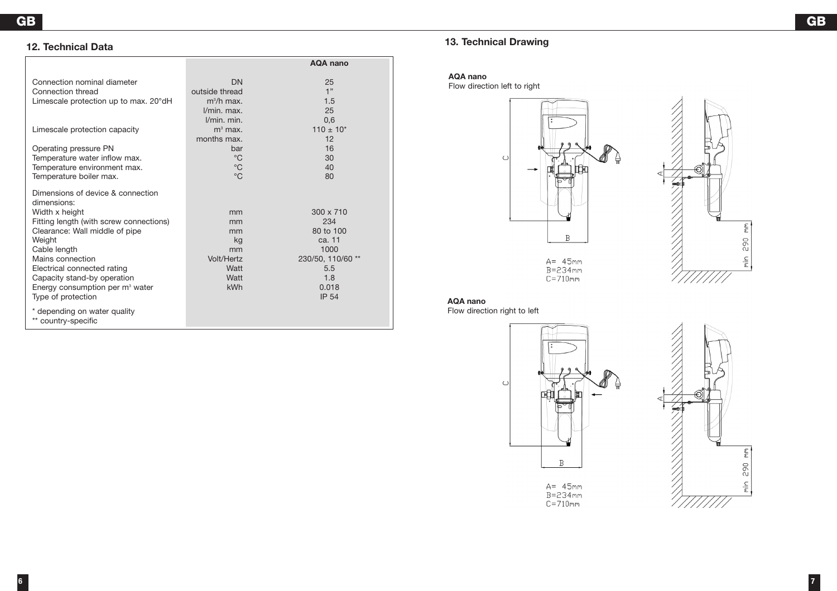# **12. Technical Data**

|                                                                                                                                                                                                                                                                                                                                  |                                                                 | <b>AQA nano</b>                                                                                             |
|----------------------------------------------------------------------------------------------------------------------------------------------------------------------------------------------------------------------------------------------------------------------------------------------------------------------------------|-----------------------------------------------------------------|-------------------------------------------------------------------------------------------------------------|
| Connection nominal diameter<br>Connection thread<br>Limescale protection up to max. 20°dH                                                                                                                                                                                                                                        | <b>DN</b><br>outside thread<br>$m^3/h$ max.<br>I/min. max.      | 25<br>1"<br>1.5<br>25                                                                                       |
| Limescale protection capacity                                                                                                                                                                                                                                                                                                    | l/min. min.<br>$m3$ max.<br>months max.                         | 0,6<br>$110 \pm 10^{*}$<br>12                                                                               |
| Operating pressure PN<br>Temperature water inflow max.<br>Temperature environment max.<br>Temperature boiler max.                                                                                                                                                                                                                | bar<br>$^{\circ}C$<br>$^{\circ}$ C<br>$^{\circ}C$               | 16<br>30<br>40<br>80                                                                                        |
| Dimensions of device & connection<br>dimensions:<br>Width x height<br>Fitting length (with screw connections)<br>Clearance: Wall middle of pipe<br>Weight<br>Cable length<br>Mains connection<br>Electrical connected rating<br>Capacity stand-by operation<br>Energy consumption per m <sup>3</sup> water<br>Type of protection | mm<br>mm<br>mm<br>kg<br>mm<br>Volt/Hertz<br>Watt<br>Watt<br>kWh | 300 x 710<br>234<br>80 to 100<br>ca. 11<br>1000<br>230/50, 110/60 **<br>5.5<br>1.8<br>0.018<br><b>IP 54</b> |
| * depending on water quality<br>** country-specific                                                                                                                                                                                                                                                                              |                                                                 |                                                                                                             |

# **13. Technical Drawing**

#### **AQA nano**

Flow direction left to right





**AQA nano** Flow direction right to left

**6 7**